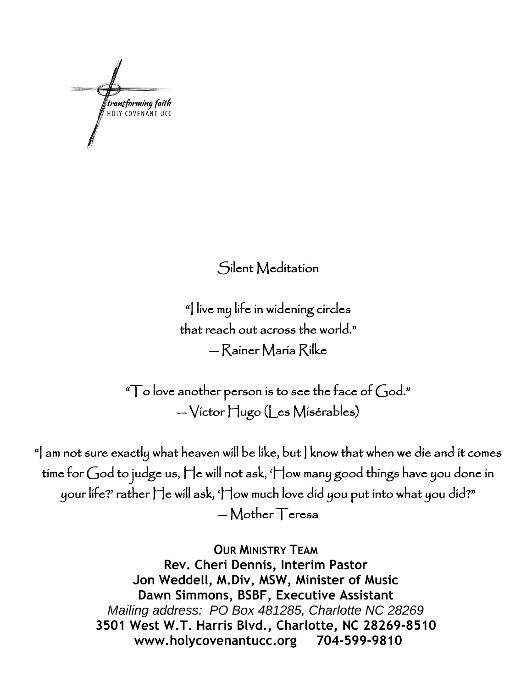transforming faith<br>HOLY COVENANT UCC

Silent Meditation

"I live my life in widening circles that reach out across the world." — Rainer Maria Rilke

" $\top$ o love another person is to see the face of  $God."$ — Victor Hugo (Les Misérables)

"] am not sure exactly what heaven will be like, but ] know that when we die and it comes time for God to judge us, He will not ask, 'How many good things have you done in your life?' rather He will ask, 'How much love did you put into what you did?" — Mother Teresa

> **OUR MINISTRY TEAM Rev. Cheri Dennis, Interim Pastor Jon Weddell, M.Div, MSW, Minister of Music Dawn Simmons, BSBF, Executive Assistant** *Mailing address: PO Box 481285, Charlotte NC 28269* **3501 West W.T. Harris Blvd., Charlotte, NC 28269-8510 www.holycovenantucc.org 704-599-9810**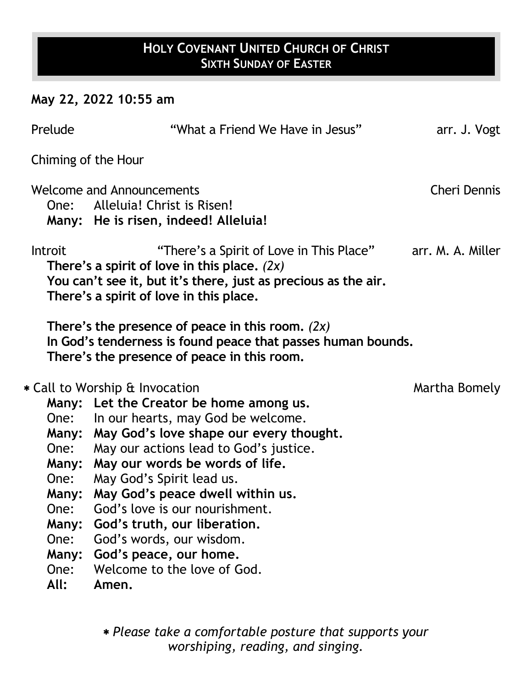# **HOLY COVENANT UNITED CHURCH OF CHRIST SIXTH SUNDAY OF EASTER**

## **May 22, 2022 10:55 am**

| Prelude                                                                |                                                                                                                                                                                                                                                                                                                                                                                                                                                                                            | "What a Friend We Have in Jesus"         | arr. J. Vogt        |
|------------------------------------------------------------------------|--------------------------------------------------------------------------------------------------------------------------------------------------------------------------------------------------------------------------------------------------------------------------------------------------------------------------------------------------------------------------------------------------------------------------------------------------------------------------------------------|------------------------------------------|---------------------|
| Chiming of the Hour                                                    |                                                                                                                                                                                                                                                                                                                                                                                                                                                                                            |                                          |                     |
|                                                                        | <b>Welcome and Announcements</b><br>One: Alleluia! Christ is Risen!<br>Many: He is risen, indeed! Alleluia!                                                                                                                                                                                                                                                                                                                                                                                |                                          | <b>Cheri Dennis</b> |
| Introit                                                                | There's a spirit of love in this place. $(2x)$<br>You can't see it, but it's there, just as precious as the air.<br>There's a spirit of love in this place.                                                                                                                                                                                                                                                                                                                                | "There's a Spirit of Love in This Place" | arr. M. A. Miller   |
|                                                                        | There's the presence of peace in this room. $(2x)$<br>In God's tenderness is found peace that passes human bounds.<br>There's the presence of peace in this room.                                                                                                                                                                                                                                                                                                                          |                                          |                     |
| One:<br>One:<br>One:<br>One:<br>Many:<br>One:<br>Many:<br>One:<br>All: | * Call to Worship & Invocation<br>Many: Let the Creator be home among us.<br>In our hearts, may God be welcome.<br>Many: May God's love shape our every thought.<br>May our actions lead to God's justice.<br>Many: May our words be words of life.<br>May God's Spirit lead us.<br>Many: May God's peace dwell within us.<br>God's love is our nourishment.<br>God's truth, our liberation.<br>God's words, our wisdom.<br>God's peace, our home.<br>Welcome to the love of God.<br>Amen. |                                          | Martha Bomely       |
|                                                                        |                                                                                                                                                                                                                                                                                                                                                                                                                                                                                            |                                          |                     |

 *Please take a comfortable posture that supports your worshiping, reading, and singing.*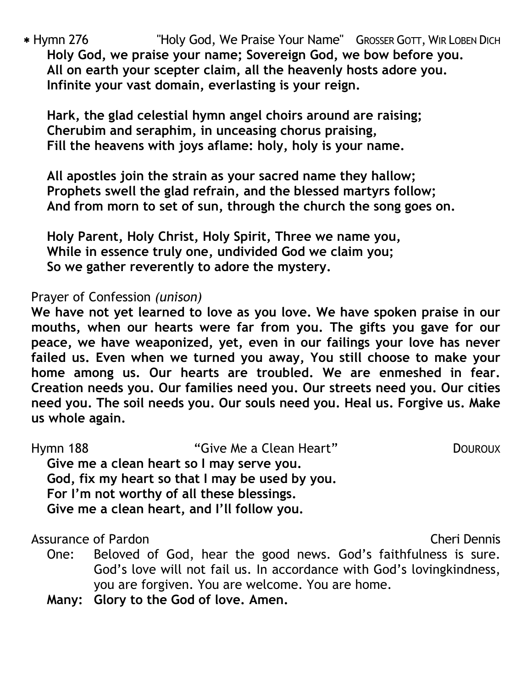Hymn 276 "Holy God, We Praise Your Name" GROSSER GOTT, WIR LOBEN DICH **Holy God, we praise your name; Sovereign God, we bow before you. All on earth your scepter claim, all the heavenly hosts adore you. Infinite your vast domain, everlasting is your reign.** 

**Hark, the glad celestial hymn angel choirs around are raising; Cherubim and seraphim, in unceasing chorus praising, Fill the heavens with joys aflame: holy, holy is your name.** 

**All apostles join the strain as your sacred name they hallow; Prophets swell the glad refrain, and the blessed martyrs follow; And from morn to set of sun, through the church the song goes on.**

**Holy Parent, Holy Christ, Holy Spirit, Three we name you, While in essence truly one, undivided God we claim you; So we gather reverently to adore the mystery.** 

Prayer of Confession *(unison)*

**We have not yet learned to love as you love. We have spoken praise in our mouths, when our hearts were far from you. The gifts you gave for our peace, we have weaponized, yet, even in our failings your love has never failed us. Even when we turned you away, You still choose to make your home among us. Our hearts are troubled. We are enmeshed in fear. Creation needs you. Our families need you. Our streets need you. Our cities need you. The soil needs you. Our souls need you. Heal us. Forgive us. Make us whole again.** 

| <b>Hymn 188</b> | "Give Me a Clean Heart"                         | <b>DOUROUX</b> |
|-----------------|-------------------------------------------------|----------------|
|                 | Give me a clean heart so I may serve you.       |                |
|                 | God, fix my heart so that I may be used by you. |                |
|                 | For I'm not worthy of all these blessings.      |                |
|                 | Give me a clean heart, and I'll follow you.     |                |

Assurance of Pardon **Cheri Dennis** Assurance of Pardon

- One: Beloved of God, hear the good news. God's faithfulness is sure. God's love will not fail us. In accordance with God's lovingkindness, you are forgiven. You are welcome. You are home.
- **Many: Glory to the God of love. Amen.**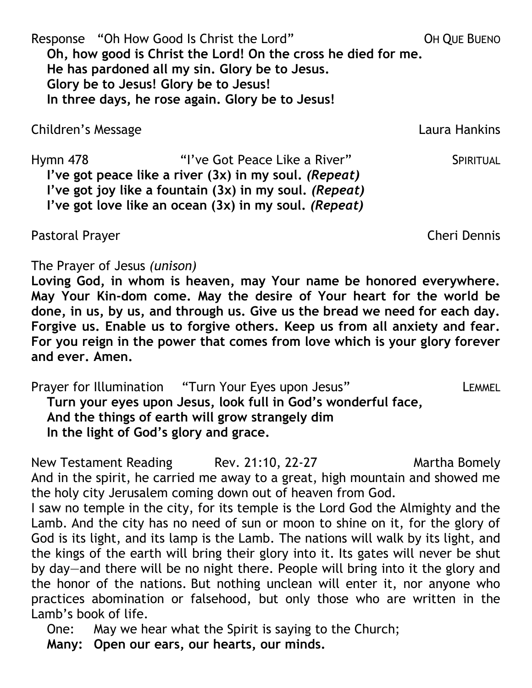Response "Oh How Good Is Christ the Lord" OH OUE BUENO **Oh, how good is Christ the Lord! On the cross he died for me. He has pardoned all my sin. Glory be to Jesus. Glory be to Jesus! Glory be to Jesus! In three days, he rose again. Glory be to Jesus!**

Children's Message Laura Hankins

Hymn 478 **Example 20 You Continue Contract Contract Contract Contract Contract Contract Contract Contract Contract Contract Contract Contract Contract Contract Contract Contract Contract Contract Contract Contract Contract I've got peace like a river (3x) in my soul.** *(Repeat)* **I've got joy like a fountain (3x) in my soul.** *(Repeat)* **I've got love like an ocean (3x) in my soul.** *(Repeat)*

Pastoral Prayer Cheri Dennis

Lamb's book of life.

The Prayer of Jesus *(unison)*

**Loving God, in whom is heaven, may Your name be honored everywhere. May Your Kin-dom come. May the desire of Your heart for the world be done, in us, by us, and through us. Give us the bread we need for each day. Forgive us. Enable us to forgive others. Keep us from all anxiety and fear. For you reign in the power that comes from love which is your glory forever and ever. Amen.**

Prayer for Illumination "Turn Your Eyes upon Jesus" LEMMEL **Turn your eyes upon Jesus, look full in God's wonderful face, And the things of earth will grow strangely dim In the light of God's glory and grace.** 

New Testament Reading Rev. 21:10, 22-27 Martha Bomely And in the spirit, he carried me away to a great, high mountain and showed me the holy city Jerusalem coming down out of heaven from God. I saw no temple in the city, for its temple is the Lord God the Almighty and the Lamb. And the city has no need of sun or moon to shine on it, for the glory of God is its light, and its lamp is the Lamb. The nations will walk by its light, and the kings of the earth will bring their glory into it. Its gates will never be shut by day—and there will be no night there. People will bring into it the glory and the honor of the nations. But nothing unclean will enter it, nor anyone who practices abomination or falsehood, but only those who are written in the

One: May we hear what the Spirit is saying to the Church;

**Many: Open our ears, our hearts, our minds.**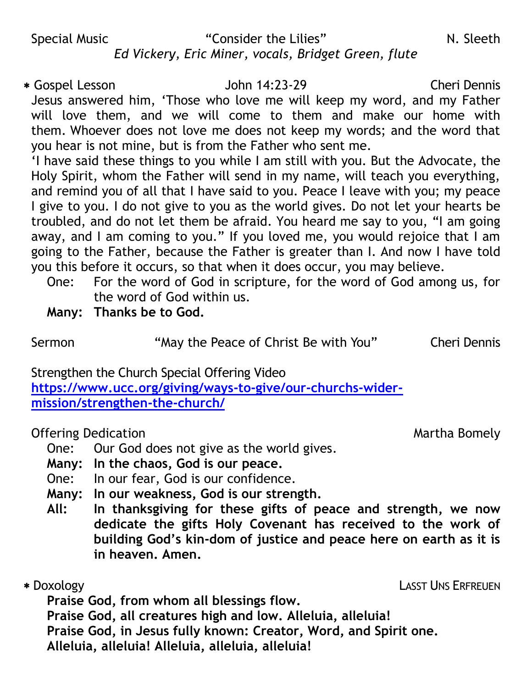#### Special Music **The Consider the Lilies**" The Consider the Lilies" N. Sleeth *Ed Vickery, Eric Miner, vocals, Bridget Green, flute*

 Gospel Lesson John 14:23-29 Cheri Dennis Jesus answered him, 'Those who love me will keep my word, and my Father will love them, and we will come to them and make our home with them. Whoever does not love me does not keep my words; and the word that you hear is not mine, but is from the Father who sent me.

'I have said these things to you while I am still with you. But the Advocate, the Holy Spirit, whom the Father will send in my name, will teach you everything, and remind you of all that I have said to you. Peace I leave with you; my peace I give to you. I do not give to you as the world gives. Do not let your hearts be troubled, and do not let them be afraid. You heard me say to you, "I am going away, and I am coming to you." If you loved me, you would rejoice that I am going to the Father, because the Father is greater than I. And now I have told you this before it occurs, so that when it does occur, you may believe.

- One: For the word of God in scripture, for the word of God among us, for the word of God within us.
- **Many: Thanks be to God.**

Sermon **"May the Peace of Christ Be with You"** Cheri Dennis

Strengthen the Church Special Offering Video

**[https://www.ucc.org/giving/ways-to-give/our-churchs-wider](https://www.ucc.org/giving/ways-to-give/our-churchs-wider-mission/strengthen-the-church/)[mission/strengthen-the-church/](https://www.ucc.org/giving/ways-to-give/our-churchs-wider-mission/strengthen-the-church/)**

### Offering Dedication **Martha Bomely Offering Dedication**

One: Our God does not give as the world gives.

- **Many: In the chaos, God is our peace.**
- One: In our fear, God is our confidence.
- **Many: In our weakness, God is our strength.**
- **All: In thanksgiving for these gifts of peace and strength, we now dedicate the gifts Holy Covenant has received to the work of building God's kin-dom of justice and peace here on earth as it is in heaven. Amen.**
- 

Doxology LASST UNS ERFREUEN

**Praise God, from whom all blessings flow.**

**Praise God, all creatures high and low. Alleluia, alleluia!**

**Praise God, in Jesus fully known: Creator, Word, and Spirit one.**

**Alleluia, alleluia! Alleluia, alleluia, alleluia!**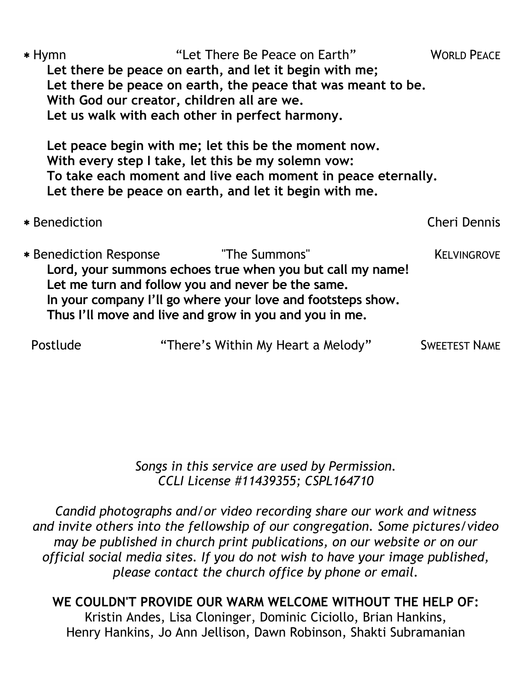| $*$ Hymn                      | With God our creator, children all are we. | "Let There Be Peace on Earth"<br>Let there be peace on earth, and let it begin with me;<br>Let there be peace on earth, the peace that was meant to be.<br>Let us walk with each other in perfect harmony.                                               | <b>WORLD PEACE</b>   |
|-------------------------------|--------------------------------------------|----------------------------------------------------------------------------------------------------------------------------------------------------------------------------------------------------------------------------------------------------------|----------------------|
|                               |                                            | Let peace begin with me; let this be the moment now.<br>With every step I take, let this be my solemn vow:<br>To take each moment and live each moment in peace eternally.<br>Let there be peace on earth, and let it begin with me.                     |                      |
| * Benediction                 |                                            |                                                                                                                                                                                                                                                          | Cheri Dennis         |
| <b>* Benediction Response</b> |                                            | "The Summons"<br>Lord, your summons echoes true when you but call my name!<br>Let me turn and follow you and never be the same.<br>In your company I'll go where your love and footsteps show.<br>Thus I'll move and live and grow in you and you in me. | <b>KELVINGROVE</b>   |
| Postlude                      |                                            | "There's Within My Heart a Melody"                                                                                                                                                                                                                       | <b>SWEETEST NAME</b> |

*Songs in this service are used by Permission. CCLI License #11439355; CSPL164710*

*Candid photographs and/or video recording share our work and witness and invite others into the fellowship of our congregation. Some pictures/video may be published in church print publications, on our website or on our official social media sites. If you do not wish to have your image published, please contact the church office by phone or email.*

#### **WE COULDN'T PROVIDE OUR WARM WELCOME WITHOUT THE HELP OF:** Kristin Andes, Lisa Cloninger, Dominic Ciciollo, Brian Hankins, Henry Hankins, Jo Ann Jellison, Dawn Robinson, Shakti Subramanian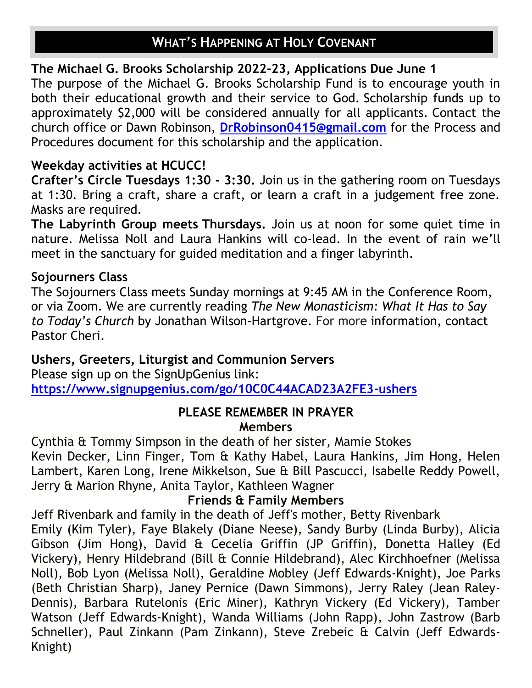# **WHAT'S HAPPENING AT HOLY COVENANT**

#### **The Michael G. Brooks Scholarship 2022-23, Applications Due June 1**

The purpose of the Michael G. Brooks Scholarship Fund is to encourage youth in both their educational growth and their service to God. Scholarship funds up to approximately \$2,000 will be considered annually for all applicants. Contact the church office or Dawn Robinson, **[DrRobinson0415@gmail.com](mailto:DrRobinson0415@gmail.com)** for the Process and Procedures document for this scholarship and the application.

### **Weekday activities at HCUCC!**

**Crafter's Circle Tuesdays 1:30 - 3:30.** Join us in the gathering room on Tuesdays at 1:30. Bring a craft, share a craft, or learn a craft in a judgement free zone. Masks are required.

**The Labyrinth Group meets Thursdays.** Join us at noon for some quiet time in nature. Melissa Noll and Laura Hankins will co-lead. In the event of rain we'll meet in the sanctuary for guided meditation and a finger labyrinth.

#### **Sojourners Class**

The Sojourners Class meets Sunday mornings at 9:45 AM in the Conference Room, or via Zoom. We are currently reading *The New Monasticism: What It Has to Say to Today's Church* by Jonathan Wilson-Hartgrove. For more information, contact Pastor Cheri.

### **Ushers, Greeters, Liturgist and Communion Servers**

Please sign up on the SignUpGenius link: **[https://www.signupgenius.com/go/10C0C44ACAD23A2FE3-ushers](https://r20.rs6.net/tn.jsp?f=001KRg6On04gjlLyktGwjKgNKfzFLQ-Um6NbG2lztA_f-oB_Ohy2KXgrjCGYNP3zoGPwpUwpW76E7C-XeXYNmP-iiO2w4RMtkV4kPs0EdjYN7MK_aj8ZdeYc6Qpavy_ybMuo20ccKgKP8hBZl8fMv58G29YP667-9hGWFrtDltIDuL5bWbp_4-ML49asN5whiAO&c=Zu3HjXli5oG1mucDNs2-QyIoLpesAu_QuUZCfVVIzn6o7dxJM2iC5Q==&ch=Q_K8Ck0f2UgLK2qW-C4om2neX2s4XTjxjYpHobQBA3QOU03sR-8ZJg==)**

#### **PLEASE REMEMBER IN PRAYER Members**

Cynthia & Tommy Simpson in the death of her sister, Mamie Stokes Kevin Decker, Linn Finger, Tom & Kathy Habel, Laura Hankins, Jim Hong, Helen Lambert, Karen Long, Irene Mikkelson, Sue & Bill Pascucci, Isabelle Reddy Powell, Jerry & Marion Rhyne, Anita Taylor, Kathleen Wagner

#### **Friends & Family Members**

Jeff Rivenbark and family in the death of Jeff's mother, Betty Rivenbark

Emily (Kim Tyler), Faye Blakely (Diane Neese), Sandy Burby (Linda Burby), Alicia Gibson (Jim Hong), David & Cecelia Griffin (JP Griffin), Donetta Halley (Ed Vickery), Henry Hildebrand (Bill & Connie Hildebrand), Alec Kirchhoefner (Melissa Noll), Bob Lyon (Melissa Noll), Geraldine Mobley (Jeff Edwards-Knight), Joe Parks (Beth Christian Sharp), Janey Pernice (Dawn Simmons), Jerry Raley (Jean Raley-Dennis), Barbara Rutelonis (Eric Miner), Kathryn Vickery (Ed Vickery), Tamber Watson (Jeff Edwards-Knight), Wanda Williams (John Rapp), John Zastrow (Barb Schneller), Paul Zinkann (Pam Zinkann), Steve Zrebeic & Calvin (Jeff Edwards-Knight)